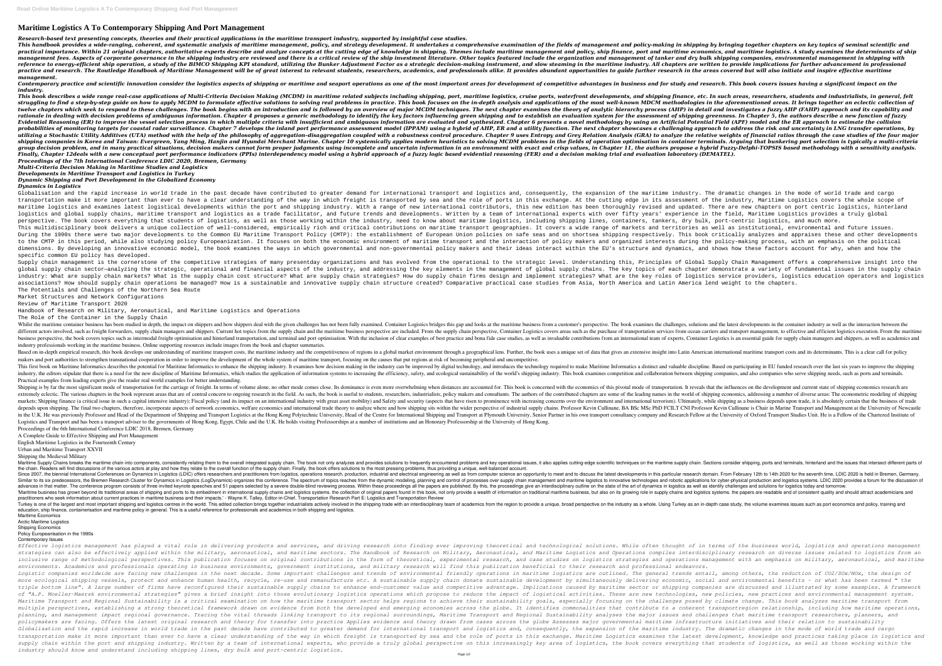# **Maritime Logistics A To Contemporary Shipping And Port Management**

*Research-based text presenting concepts, theories and their practical applications in the maritime transport industry, supported by insightful case studies.* This handbook provides a wide-ranging, coherent, and systematic analysis of maritime management, policy, and strategy development. It undertakes a comprehensive examination of the fields of management and policy-making in practical importance. Within 21 original chapters, authoritative experts describe and analyze concepts at the cutting edge of knowledge in shipping. Themes include maritime management and policy, ship finance, port and mar management fees. Aspects of corporate governance in the shipping industry are reviewed and there is a critical review of the ship investment literature. Other topics featured include the organization and management of tank reference to energy-efficient ship operation, a study of the BIMCO Shipping KPI standard, utilizing the Bunker Adjustment Factor as a strategic decision-making instrument, and slow steaming in the maritime industry. All ch practice and research. The Routledge Handbook of Maritime Management will be of great interest to relevant students, researchers, academics, and professionals alike. It provides abundant opportunities to quide further rese *management.*

Contemporary practice and scientific innovation consider the logistics aspects of shipping or maritime and seaport operations as one of the most important areas for development of competitive advantages in business and for *industry.*

This book describes a wide range real-case applications of Multi-Criteria Decision Making (MCDM) in maritime related subiects including shipping, port, maritime loaistics, cruise ports, waterfront developments, and shippin struggling to find a step-by-step quide on how to apply MCDM to formulate effective solutions to solving real problems in practice. This book focuses on the in-depth analysis and applications of the most well-known MDCM me twelve chapters which seek to respond to these challenges. The book begins with an introduction and is followed by an overview of major MCDM techniques. The next chapter examines the theory of analytic hierarchy process (A rationale in dealing with decision problems of ambiauous information. Chapter 4 proposes a generic methodology to identify the key factors influencing are and to establish an evaluation system for the assessment of shippin Evidential Reasoning (ER) to improve the vessel selection process in which multiple criteria with insufficient and ambiguous information are evaluated and synthesized. Chapter 6 presents a novel methodology by using an Art probabilities of monitoring targets for coastal radar surveillance. Chapter 7 develops the inland port performance assessment model (IPPAM) using a hybrid of AHP, ER and a utility function. The next chapter showcases a cha utilizing a Stochastic Utility Additives (UTA) method with the help of the philosophy of aggregation-disaggregation coupled with a robustness control procedure. Chapter 9 uses Entropy and Grey Relation Analysis (GRA) to an shipping companies in Korea and Taiwan: Evergreen, Yang Ming, Hanjin and Hyundai Merchant Marine. Chapter 10 systemically applies modern heuristics to solving MCDM problems in the fields of operation optimisation in contai group decision problem, and in many practical situations, decision makers cannot form proper judgments using incomplete and uncertain information in an environment with exact and crisp values, in Chapter 11, the authors pr Finally, Chapter 12deals with a new conceptual port performance indicators (PPIs) interdependency model using a hybrid approach of a fuzzy logic based evidential reasoning (FER) and a decision making trial and evaluation l *Proceedings of the 7th International Conference LDIC 2020, Bremen, Germany*

Globalisation and the rapid increase in world trade in the past decade have contributed to greater demand for international transport and logistics and, consequently, the expansion of the maritime industry. The dramatic ch transportation make it more important than ever to have a clear understanding of the way in which freight is transported by sea and the role of ports in this exchange. At the cutting edge in its assessment of the industry, maritime logistics and examines latest logistical developments within the port and shipping industry. With a range of new international contributors, this new edition has been thoroughly revised and updated. There are new logistics and global supply chains, maritime transport and logistics as a trade facilitator, and future trends and developments. Written by a team of international experis with over fifty years' experience in the field, Ma perspective. The book covers everything that students of logistics, as well as those working within the industry, need to know about maritime logistics, dankers, dankers, dry bulk, port-centric logistics, and much more. This multidisciplinary book delivers a unique collection of well-considered, empirically rich and critical contributions on maritime transport geographies. It covers a wide range of markets and territories as well as insti During the 1990s there were two major developments to the Common EU Maritime Transport Policy (CMTP): the establishment of European Union policies on safe seas and on shortsea shipping respectively. This book critically an to the CMTP in this period, while also studying policy Europeanization. It focuses on both the economic environment of maritime transport and the interaction of policy makers and organized interests during the policy-makin dimensions. By developing an innovative economic model, the book examines the ways in which governmental and non-governmental policy makers and dynamics, and shows how these factors account for why, when and how the specific common EU policy has developed.

Supply chain management is the cornerstone of the competitive strategies of many presentday organizations and has evolved from the operational to the strategic level. Understanding this, Principles of Global Supply Chain M global supply chain sector—analyzing the strategic, operational and financial aspects of the industry, and addressing the key elements in the management of global supply chains. The key topics of each chapter demonstrate a industry: What are supply chain markets? What is the supply chain cost structure? What are supply chain strategies? How do supply chain firms design and implement strategies? What are the key roles of logistics service pro associations? How should supply chain operations be managed? How is a sustainable and innovative supply chain structure created? Comparative practical case studies from Asia, North America and Latin America lend weight to The Potentials and Challenges of the Northern Sea Route

### *Multi-Criteria Decision Making in Maritime Studies and Logistics*

Whilst the maritime container business has been studied in depth, the impact on shippers and how shippers and how shippers deal with the given challenges, solutions and the latest developments in the container industry as different actors involved, such as freight forwarders, supply chain managers and shippers. Current hot topics from the supply chain and the maritime business perspective, Container Logistics execution. From the maritime du nother last intermodal freight optimisation and hinterland transportation, and terminal and port optimisation and hinterland transportation, and terminal and port optimisation. With the inclusion of clear examples of best industry professionals working in the maritime business. Online supporting resources include images from the book and chapter summaries.

*Developments in Maritime Transport and Logistics in Turkey Dynamic Shipping and Port Development in the Globalized Economy*

## *Dynamics in Logistics*

Based on in-depth empirical research, this book develops our understanding of maritime transport costs, the maritime industry and the competitiveness of regions in a global market environment through a geographical lens. F makers and port authorities to strengthen transnational cooperation in order to improve the development of the whole system of maritime transport, focusing on the causes that put regions at risk of becoming peripheral and This first book on Maritime Informatics describes the potential for Maritime Informatics to enhance the shipping industry. It examines how decision making in the industry can be improved by digital technology, and introduc industry, the editors stipulate that there is a need for the new discipline of Maritime Informatics, which studies the application of information systems to increasing the efficiency, safety, and ecological sustainability Practical examples from leading experts give the reader real world examples for better understanding.

Shipping is by far the most significant mode of transportation for the carriage of freight. In terms of volume alone, no other mode comes close. Its dominance is even more overwhelming when distances are accounted for. Thi extremely eclectic. The various chapters in the book represent areas that are of central concern to ongoing research in the field. As such, the book is useful to students, researchers, industrialists, policy makers and con Inance (a critical issue in such a capital intensive industry); Fiscal policy (and its impact on an international industry with great asset mobility) and Safety and security (aspects that have risen to prominence with incr depends upon shipping. The final two chapters, therefore, incorporate aspects of network economics, welfare economics, welfare economics, welfare economics and international trade theory to analyze where and how shipping s in the U.K. He was previously Professor and Head of the Department of Shipping and Transport Logistics at the Hong Kong Polytechnic University, Head of the Centre for International Shipping and Transport at Plymouth Univer Logistics and Transport and has been a transport adviser to the governments of Hong Kong, Egypt, Chile and the U.K. He holds visiting Professorships at a number of institutions and an Honorary Professorship at the Universi Proceedings of the 6th International Conference LDIC 2018, Bremen, Germany

Maritime Supply Chains breaks the maritime chain into components, consistently relating them to the overall integrated supply chain. The book not only analyzes and provides solutions to frequently encountered problems and the chain. Readers will find discussions of the various actors at play and how they relate to the overall function of the supply chain. Finally, the book offers solutions to the most pressing problems, thus providing a uni Since 2007, the biennial International Conferences on Dynamics in Logistics (LDIC) offers researchers and practitioners from logistics, operations research domain. From February 12th to 14th 2020 for the seventh time, LDIC Similar to its six predecessors, the Bremen Research Cluster for Dynamics in Logistics (LogDynamics) organizes this conference. The spectrum of topics reaches from the dynamic modeling, planning and control of processes ov advances in that matter. The conference program consists of three invited keynote speeches and 51 papers selected by a severe double-blind reviewing process. Within these proceedings give an interdisciplinary outline on th 'Maritime business has grown beyond its traditional areas of shipping and ports to its embedment in international supply chains and logistics systems. the collection of original papers found in this book, not only provide practitioners who seek information about current practices in maritime business and their impacts.' - Wayne K. Talley, Editor-in-Chief, Transportation Research Part E: Logistics and Transportation Review Turkey is one of the largest and most important shipping and logistics centres in the world. This edited collection brings together industrialists actively involved in the shipping trade with an interdisciplinary team of a education, ship finance, containerisation and maritime policy in general. This is a useful reference for professionals and academics in both shipping and logistics. Maritime Economics

Market Structures and Network Configurations

Review of Maritime Transport 2020

Handbook of Research on Military, Aeronautical, and Maritime Logistics and Operations

The Role of the Container in the Supply Chain

Effective logistics management has played a vital role in delivering products and services, and driving research into finding ever improving theoretical and technological solutions. While often thought of in terms of the b strategies can also be effectively applied within the military, aeronautical, and maritime sectors. The Handbook of Research on Military, Aeronautical, and Maritime Logistics and Operations compiles interdisciplinary resea inclusive range of methodological perspectives. This publication focuses on original contributions in the form of theoretical, experimental research, and operations management with an emphasis on military, aeronautical, an *environments. Academics and professionals operating in business environments, government institutions, and military research will find this publication beneficial to their research and professional endeavors.* Logistic companies worldwide are facing new challenges in the next decade. Some important challenges and trends of environmental friendly operations in maritime logistics are outlined. The general trends entail, among othe more ecological shipping vessels, protect and enhance human health, recycle, re-use and remanufacture etc. A sustainable supply chain donate sustainable supply chain donate sustainable supply chain donate sustainable suppl triple bottom line". A large number of firms have reconfigured their sustainable supply chains to enhance end-customer value and competitive advantage. Implications caused by maritime sector or shipping companies are discu of "A.P. Moeller-Maersk environmental strategies" gives a brief insight into those evolutionary logistics operations which propose to reduce the impact of logistical activities. These are new technologies, new policies, ne Maritime Transport and Regional Sustainability is a critical examination on how the maritime transport sector helps regions to achieve their sustainability goals, especially focusing on the challenges posed by climate chan multiple perspectives, establishing a strong theoretical framework drawn on evidence from both the developed and emerging economies across the globe. It identifies commonalities that contribute to a coherent transportregio planning, and management impact regional governance. Tracing the vital threads linking transport to its regional Sustainability analyses the major issues and challenges that maritime transport researchers, planners, and policymakers are facing. Offers the latest original research and theory for transfer into practice Applies evidence and theory drawn from cases across the globe Assesses major governmental maritime infrastructure initiativ Globalisation and the rapid increase in world trade in the past decade have contributed to greater demand for international transport and logistics and, consequently, the expansion of the maritime industry. The dramatic ch transportation make it more important than ever to have a clear understanding of the way in which freight is transported by sea and the role of ports in this exchange. Maritime Logistics examines the latest development, kn supply chain within the port and shipping industry. Written by a team of international experts, who provide a truly global perspective on this increasingly key area of logistics, the book covers everything that students of *industry should know and understand including shipping lines, dry bulk and port-centric logistics.*

A Complete Guide to Effective Shipping and Port Management

English Maritime Logistics in the Fourteenth Century

# Urban and Maritime Transport XXVII

Shipping the Medieval Military

Arctic Maritime Logistics

#### Shipping Economics Policy Europeanisation in the 1990s

Contemporary Issues